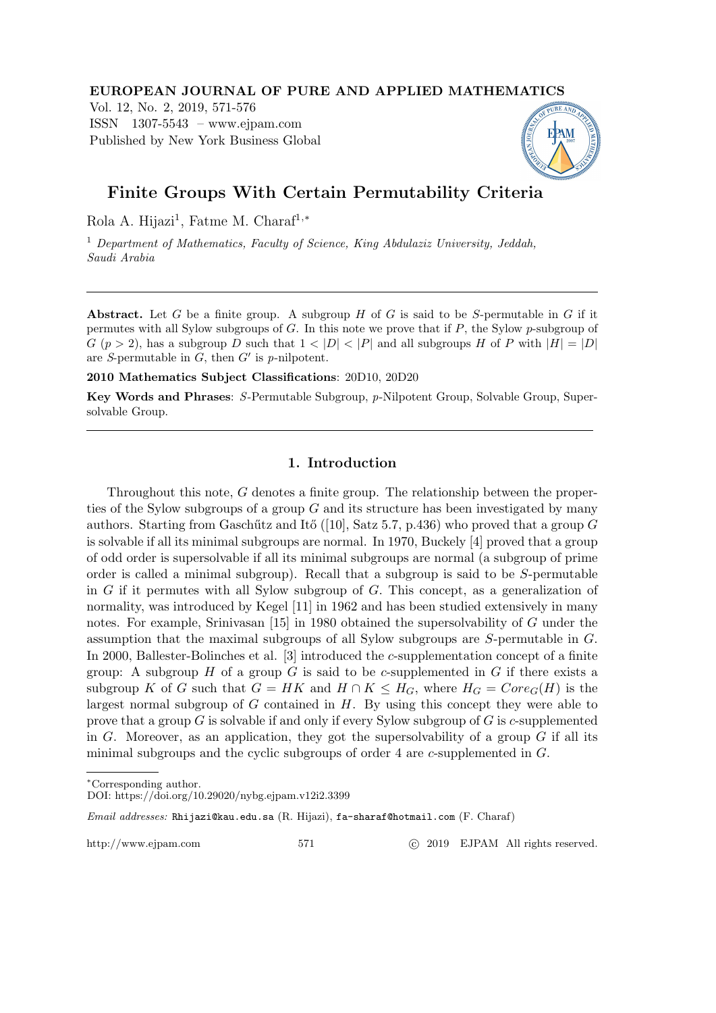#### EUROPEAN JOURNAL OF PURE AND APPLIED MATHEMATICS

Vol. 12, No. 2, 2019, 571-576 ISSN 1307-5543 – www.ejpam.com Published by New York Business Global



# Finite Groups With Certain Permutability Criteria

Rola A. Hijazi<sup>1</sup>, Fatme M. Charaf<sup>1,\*</sup>

<sup>1</sup> Department of Mathematics, Faculty of Science, King Abdulaziz University, Jeddah, Saudi Arabia

Abstract. Let G be a finite group. A subgroup  $H$  of G is said to be S-permutable in G if it permutes with all Sylow subgroups of G. In this note we prove that if P, the Sylow p-subgroup of  $G (p > 2)$ , has a subgroup D such that  $1 < |D| < |P|$  and all subgroups H of P with  $|H| = |D|$ are S-permutable in  $G$ , then  $G'$  is p-nilpotent.

2010 Mathematics Subject Classifications: 20D10, 20D20

Key Words and Phrases: S-Permutable Subgroup, p-Nilpotent Group, Solvable Group, Supersolvable Group.

## 1. Introduction

Throughout this note, G denotes a finite group. The relationship between the properties of the Sylow subgroups of a group  $G$  and its structure has been investigated by many authors. Starting from Gaschűtz and Itő ([10], Satz 5.7, p.436) who proved that a group  $G$ is solvable if all its minimal subgroups are normal. In 1970, Buckely [4] proved that a group of odd order is supersolvable if all its minimal subgroups are normal (a subgroup of prime order is called a minimal subgroup). Recall that a subgroup is said to be S-permutable in G if it permutes with all Sylow subgroup of G. This concept, as a generalization of normality, was introduced by Kegel [11] in 1962 and has been studied extensively in many notes. For example, Srinivasan [15] in 1980 obtained the supersolvability of G under the assumption that the maximal subgroups of all Sylow subgroups are S-permutable in G. In 2000, Ballester-Bolinches et al. [3] introduced the c-supplementation concept of a finite group: A subgroup  $H$  of a group  $G$  is said to be c-supplemented in  $G$  if there exists a subgroup K of G such that  $G = HK$  and  $H \cap K \leq H_G$ , where  $H_G = Core_G(H)$  is the largest normal subgroup of  $G$  contained in  $H$ . By using this concept they were able to prove that a group  $G$  is solvable if and only if every Sylow subgroup of  $G$  is c-supplemented in G. Moreover, as an application, they got the supersolvability of a group  $G$  if all its minimal subgroups and the cyclic subgroups of order 4 are c-supplemented in G.

Email addresses: Rhijazi@kau.edu.sa (R. Hijazi), fa-sharaf@hotmail.com (F. Charaf)

http://www.ejpam.com 571 c 2019 EJPAM All rights reserved.

<sup>∗</sup>Corresponding author.

DOI: https://doi.org/10.29020/nybg.ejpam.v12i2.3399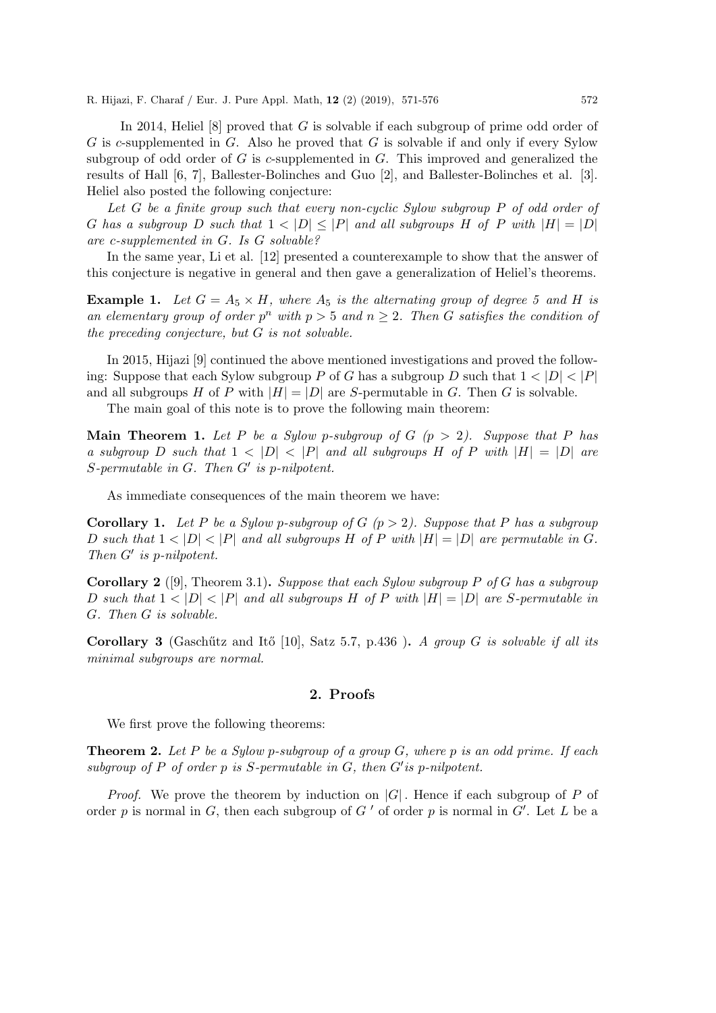R. Hijazi, F. Charaf / Eur. J. Pure Appl. Math, 12 (2) (2019), 571-576 572

In 2014, Heliel [8] proved that G is solvable if each subgroup of prime odd order of G is c-supplemented in G. Also he proved that G is solvable if and only if every Sylow subgroup of odd order of  $G$  is c-supplemented in  $G$ . This improved and generalized the results of Hall [6, 7], Ballester-Bolinches and Guo [2], and Ballester-Bolinches et al. [3]. Heliel also posted the following conjecture:

Let G be a finite group such that every non-cyclic Sylow subgroup P of odd order of G has a subgroup D such that  $1 < |D| \leq |P|$  and all subgroups H of P with  $|H| = |D|$ are c-supplemented in G. Is G solvable?

In the same year, Li et al. [12] presented a counterexample to show that the answer of this conjecture is negative in general and then gave a generalization of Heliel's theorems.

**Example 1.** Let  $G = A_5 \times H$ , where  $A_5$  is the alternating group of degree 5 and H is an elementary group of order  $p^n$  with  $p > 5$  and  $n \geq 2$ . Then G satisfies the condition of the preceding conjecture, but G is not solvable.

In 2015, Hijazi [9] continued the above mentioned investigations and proved the following: Suppose that each Sylow subgroup P of G has a subgroup D such that  $1 < |D| < |P|$ and all subgroups H of P with  $|H| = |D|$  are S-permutable in G. Then G is solvable.

The main goal of this note is to prove the following main theorem:

**Main Theorem 1.** Let P be a Sylow p-subgroup of G  $(p > 2)$ . Suppose that P has a subgroup D such that  $1 < |D| < |P|$  and all subgroups H of P with  $|H| = |D|$  are  $S$ -permutable in  $G$ . Then  $G'$  is p-nilpotent.

As immediate consequences of the main theorem we have:

**Corollary 1.** Let P be a Sylow p-subgroup of G  $(p > 2)$ . Suppose that P has a subgroup D such that  $1 < |D| < |P|$  and all subgroups H of P with  $|H| = |D|$  are permutable in G. Then  $G'$  is p-nilpotent.

**Corollary 2** ([9], Theorem 3.1). Suppose that each Sylow subgroup P of G has a subgroup D such that  $1 < |D| < |P|$  and all subgroups H of P with  $|H| = |D|$  are S-permutable in G. Then G is solvable.

Corollary 3 (Gaschütz and Itő [10], Satz 5.7, p.436). A group G is solvable if all its minimal subgroups are normal.

### 2. Proofs

We first prove the following theorems:

**Theorem 2.** Let P be a Sylow p-subgroup of a group  $G$ , where p is an odd prime. If each subgroup of  $P$  of order  $p$  is  $S$ -permutable in  $G$ , then  $G'$  is p-nilpotent.

*Proof.* We prove the theorem by induction on  $|G|$ . Hence if each subgroup of P of order p is normal in G, then each subgroup of  $G'$  of order p is normal in  $G'$ . Let L be a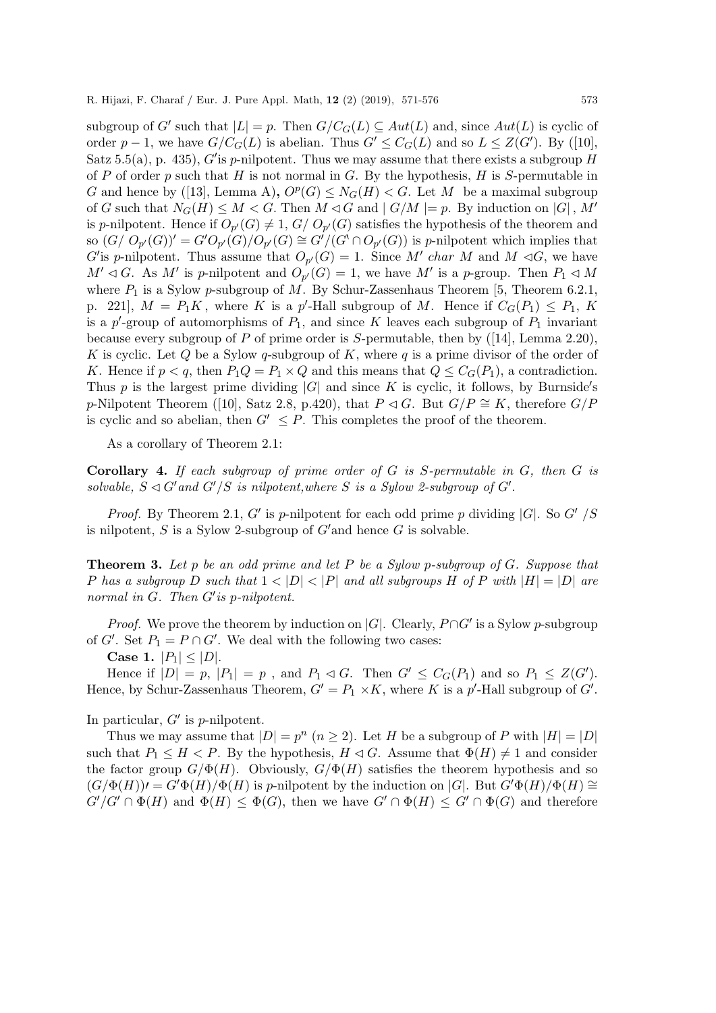subgroup of G' such that  $|L| = p$ . Then  $G/C_G(L) \subseteq Aut(L)$  and, since  $Aut(L)$  is cyclic of order  $p-1$ , we have  $G/C_G(L)$  is abelian. Thus  $G' \leq C_G(L)$  and so  $L \leq Z(G')$ . By ([10], Satz 5.5(a), p. 435), G'is p-nilpotent. Thus we may assume that there exists a subgroup  $H$ of P of order p such that H is not normal in G. By the hypothesis, H is S-permutable in G and hence by ([13], Lemma A),  $O^p(G) \leq N_G(H) < G$ . Let M be a maximal subgroup of G such that  $N_G(H) \leq M < G$ . Then  $M \triangleleft G$  and  $|G/M| = p$ . By induction on  $|G|$ , M' is p-nilpotent. Hence if  $O_{p'}(G) \neq 1$ ,  $G/D_{p'}(G)$  satisfies the hypothesis of the theorem and so  $(G/O_{p'}(G))' = G'O_{p'}(G)/O_{p'}(G) \cong G'/(G' \cap O_{p'}(G))$  is p-nilpotent which implies that G'is p-nilpotent. Thus assume that  $O_{p'}(G) = 1$ . Since M' char M and M  $\lhd G$ , we have  $M' \lhd G$ . As M' is p-nilpotent and  $O_{p'}(G) = 1$ , we have M' is a p-group. Then  $P_1 \lhd M$ where  $P_1$  is a Sylow p-subgroup of M. By Schur-Zassenhaus Theorem [5, Theorem 6.2.1, p. 221],  $M = P_1K$ , where K is a p'-Hall subgroup of M. Hence if  $C_G(P_1) \leq P_1$ , K is a  $p'$ -group of automorphisms of  $P_1$ , and since K leaves each subgroup of  $P_1$  invariant because every subgroup of P of prime order is S-permutable, then by  $([14]$ , Lemma 2.20), K is cyclic. Let Q be a Sylow q-subgroup of K, where q is a prime divisor of the order of K. Hence if  $p < q$ , then  $P_1Q = P_1 \times Q$  and this means that  $Q \leq C_G(P_1)$ , a contradiction. Thus  $p$  is the largest prime dividing  $|G|$  and since  $K$  is cyclic, it follows, by Burnside's p-Nilpotent Theorem ([10], Satz 2.8, p.420), that  $P \lhd G$ . But  $G/P \cong K$ , therefore  $G/P$ is cyclic and so abelian, then  $G' \leq P$ . This completes the proof of the theorem.

As a corollary of Theorem 2.1:

**Corollary 4.** If each subgroup of prime order of  $G$  is  $S$ -permutable in  $G$ , then  $G$  is solvable,  $S \triangleleft G'$  and  $G'/S$  is nilpotent, where S is a Sylow 2-subgroup of  $G'$ .

*Proof.* By Theorem 2.1, G' is p-nilpotent for each odd prime p dividing  $|G|$ . So G' /S is nilpotent,  $S$  is a Sylow 2-subgroup of  $G'$  and hence  $G$  is solvable.

**Theorem 3.** Let p be an odd prime and let P be a Sylow p-subgroup of  $G$ . Suppose that P has a subgroup D such that  $1 < |D| < |P|$  and all subgroups H of P with  $|H| = |D|$  are normal in  $G$ . Then  $G'$  is p-nilpotent.

*Proof.* We prove the theorem by induction on  $|G|$ . Clearly,  $P \cap G'$  is a Sylow p-subgroup of G'. Set  $P_1 = P \cap G'$ . We deal with the following two cases:

Case 1.  $|P_1| \leq |D|$ .

Hence if  $|D| = p$ ,  $|P_1| = p$ , and  $P_1 \lhd G$ . Then  $G' \leq C_G(P_1)$  and so  $P_1 \leq Z(G')$ . Hence, by Schur-Zassenhaus Theorem,  $G' = P_1 \times K$ , where K is a p'-Hall subgroup of G'.

In particular,  $G'$  is p-nilpotent.

Thus we may assume that  $|D| = p^n$   $(n \ge 2)$ . Let H be a subgroup of P with  $|H| = |D|$ such that  $P_1 \leq H \leq P$ . By the hypothesis,  $H \lhd G$ . Assume that  $\Phi(H) \neq 1$  and consider the factor group  $G/\Phi(H)$ . Obviously,  $G/\Phi(H)$  satisfies the theorem hypothesis and so  $(G/\Phi(H))=G'\Phi(H)/\Phi(H)$  is p-nilpotent by the induction on |G|. But  $G'\Phi(H)/\Phi(H) \cong$  $G'/G' \cap \Phi(H)$  and  $\Phi(H) \leq \Phi(G)$ , then we have  $G' \cap \Phi(H) \leq G' \cap \Phi(G)$  and therefore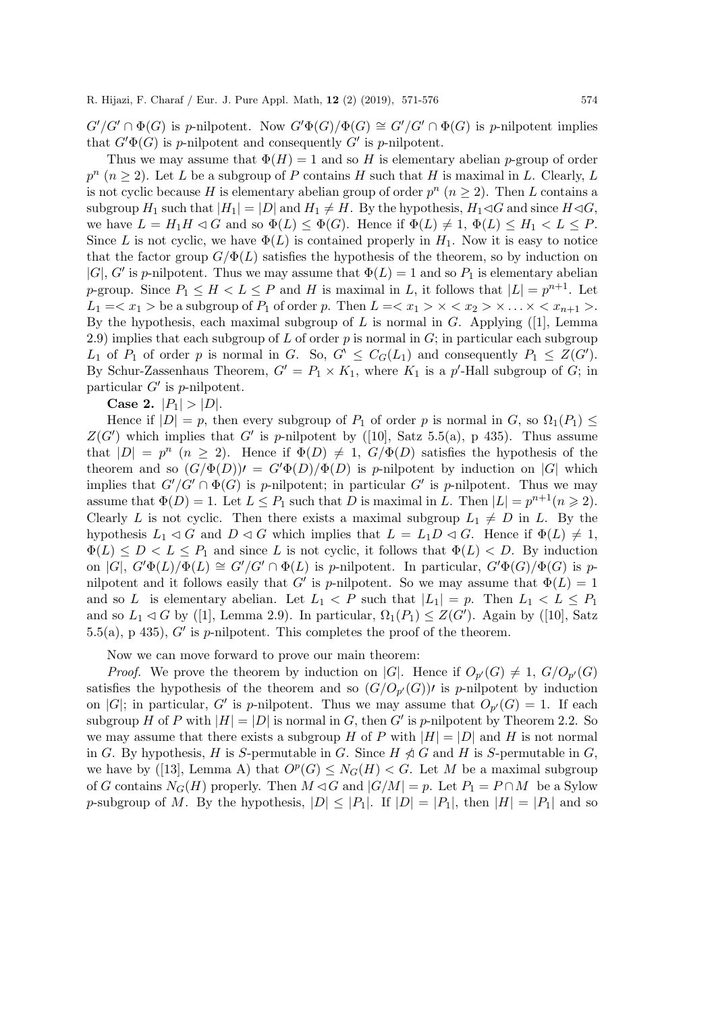$G'/G' \cap \Phi(G)$  is p-nilpotent. Now  $G'\Phi(G)/\Phi(G) \cong G'/G' \cap \Phi(G)$  is p-nilpotent implies that  $G' \Phi(G)$  is p-nilpotent and consequently G' is p-nilpotent.

Thus we may assume that  $\Phi(H) = 1$  and so H is elementary abelian p-group of order  $p^{n}$   $(n \geq 2)$ . Let L be a subgroup of P contains H such that H is maximal in L. Clearly, L is not cyclic because H is elementary abelian group of order  $p^{n}$   $(n \geq 2)$ . Then L contains a subgroup  $H_1$  such that  $|H_1| = |D|$  and  $H_1 \neq H$ . By the hypothesis,  $H_1 \triangleleft G$  and since  $H \triangleleft G$ , we have  $L = H_1H \lhd G$  and so  $\Phi(L) \leq \Phi(G)$ . Hence if  $\Phi(L) \neq 1$ ,  $\Phi(L) \leq H_1 < L \leq P$ . Since L is not cyclic, we have  $\Phi(L)$  is contained properly in  $H_1$ . Now it is easy to notice that the factor group  $G/\Phi(L)$  satisfies the hypothesis of the theorem, so by induction on |G|, G' is p-nilpotent. Thus we may assume that  $\Phi(L) = 1$  and so  $P_1$  is elementary abelian p-group. Since  $P_1 \leq H \leq L \leq P$  and H is maximal in L, it follows that  $|L| = p^{n+1}$ . Let  $L_1 = \langle x_1 \rangle$  be a subgroup of  $P_1$  of order p. Then  $L = \langle x_1 \rangle \times \langle x_2 \rangle \times \ldots \times \langle x_{n+1} \rangle$ . By the hypothesis, each maximal subgroup of L is normal in G. Applying ([1], Lemma 2.9) implies that each subgroup of L of order  $p$  is normal in  $G$ ; in particular each subgroup  $L_1$  of  $P_1$  of order p is normal in G. So,  $G' \leq C_G(L_1)$  and consequently  $P_1 \leq Z(G')$ . By Schur-Zassenhaus Theorem,  $G' = P_1 \times K_1$ , where  $K_1$  is a p'-Hall subgroup of G; in particular  $G'$  is p-nilpotent.

Case 2.  $|P_1| > |D|$ .

Hence if  $|D| = p$ , then every subgroup of  $P_1$  of order p is normal in G, so  $\Omega_1(P_1) \leq$  $Z(G')$  which implies that G' is p-nilpotent by ([10], Satz 5.5(a), p 435). Thus assume that  $|D| = p^n$   $(n \ge 2)$ . Hence if  $\Phi(D) \ne 1$ ,  $G/\Phi(D)$  satisfies the hypothesis of the theorem and so  $(G/\Phi(D))=G'\Phi(D)/\Phi(D)$  is p-nilpotent by induction on |G| which implies that  $G'/G' \cap \Phi(G)$  is p-nilpotent; in particular G' is p-nilpotent. Thus we may assume that  $\Phi(D) = 1$ . Let  $L \leq P_1$  such that D is maximal in L. Then  $|L| = p^{n+1} (n \geq 2)$ . Clearly L is not cyclic. Then there exists a maximal subgroup  $L_1 \neq D$  in L. By the hypothesis  $L_1 \triangleleft G$  and  $D \triangleleft G$  which implies that  $L = L_1 D \triangleleft G$ . Hence if  $\Phi(L) \neq 1$ ,  $\Phi(L) \leq D < L \leq P_1$  and since L is not cyclic, it follows that  $\Phi(L) < D$ . By induction on  $|G|$ ,  $G'\Phi(L)/\Phi(L) \cong G'/G' \cap \Phi(L)$  is p-nilpotent. In particular,  $G'\Phi(G)/\Phi(G)$  is pnilpotent and it follows easily that G' is p-nilpotent. So we may assume that  $\Phi(L) = 1$ and so L is elementary abelian. Let  $L_1 < P$  such that  $|L_1| = p$ . Then  $L_1 < L \leq P_1$ and so  $L_1 \lhd G$  by ([1], Lemma 2.9). In particular,  $\Omega_1(P_1) \leq Z(G')$ . Again by ([10], Satz 5.5(a), p 435),  $G'$  is p-nilpotent. This completes the proof of the theorem.

Now we can move forward to prove our main theorem:

*Proof.* We prove the theorem by induction on |G|. Hence if  $O_{p'}(G) \neq 1$ ,  $G/O_{p'}(G)$ satisfies the hypothesis of the theorem and so  $(G/O_{p'}(G))$  is p-nilpotent by induction on |G|; in particular, G' is p-nilpotent. Thus we may assume that  $O_{p'}(G) = 1$ . If each subgroup H of P with  $|H| = |D|$  is normal in G, then G' is p-nilpotent by Theorem 2.2. So we may assume that there exists a subgroup H of P with  $|H| = |D|$  and H is not normal in G. By hypothesis, H is S-permutable in G. Since  $H \ntriangleleft G$  and H is S-permutable in G, we have by ([13], Lemma A) that  $O^p(G) \leq N_G(H) < G$ . Let M be a maximal subgroup of G contains  $N_G(H)$  properly. Then  $M \triangleleft G$  and  $|G/M| = p$ . Let  $P_1 = P \cap M$  be a Sylow p-subgroup of M. By the hypothesis,  $|D| \leq |P_1|$ . If  $|D| = |P_1|$ , then  $|H| = |P_1|$  and so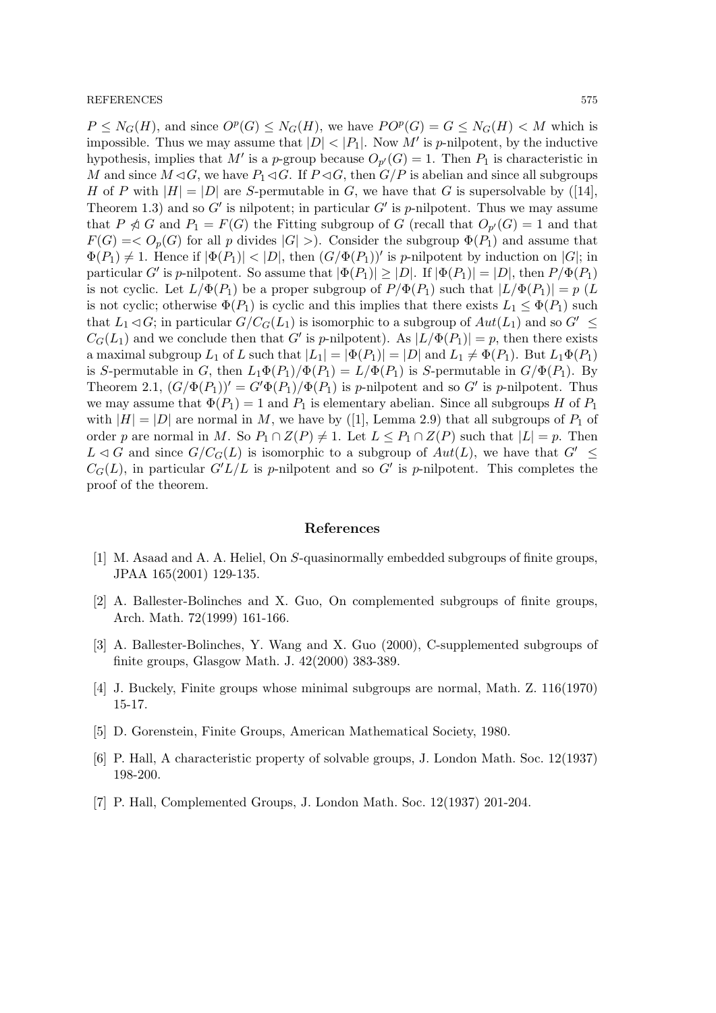$P \leq N_G(H)$ , and since  $O^p(G) \leq N_G(H)$ , we have  $PO^p(G) = G \leq N_G(H) < M$  which is impossible. Thus we may assume that  $|D| < |P_1|$ . Now M' is p-nilpotent, by the inductive hypothesis, implies that M' is a p-group because  $O_{p'}(G) = 1$ . Then  $P_1$  is characteristic in M and since  $M \triangleleft G$ , we have  $P_1 \triangleleft G$ . If  $P \triangleleft G$ , then  $G/P$  is abelian and since all subgroups H of P with  $|H| = |D|$  are S-permutable in G, we have that G is supersolvable by ([14], Theorem 1.3) and so  $G'$  is nilpotent; in particular  $G'$  is p-nilpotent. Thus we may assume that  $P \ntriangleleft G$  and  $P_1 = F(G)$  the Fitting subgroup of G (recall that  $O_{p'}(G) = 1$  and that  $F(G) = \langle O_p(G)$  for all p divides  $|G| >$ ). Consider the subgroup  $\Phi(P_1)$  and assume that  $\Phi(P_1) \neq 1$ . Hence if  $|\Phi(P_1)| < |D|$ , then  $(G/\Phi(P_1))'$  is *p*-nilpotent by induction on  $|G|$ ; in particular G' is p-nilpotent. So assume that  $|\Phi(P_1)| \ge |D|$ . If  $|\Phi(P_1)| = |D|$ , then  $P/\Phi(P_1)$ is not cyclic. Let  $L/\Phi(P_1)$  be a proper subgroup of  $P/\Phi(P_1)$  such that  $|L/\Phi(P_1)| = p$  (L is not cyclic; otherwise  $\Phi(P_1)$  is cyclic and this implies that there exists  $L_1 \leq \Phi(P_1)$  such that  $L_1 \triangleleft G$ ; in particular  $G/C_G(L_1)$  is isomorphic to a subgroup of  $Aut(L_1)$  and so  $G' \subseteq$  $C_G(L_1)$  and we conclude then that G' is p-nilpotent). As  $|L/\Phi(P_1)| = p$ , then there exists a maximal subgroup  $L_1$  of L such that  $|L_1| = |\Phi(P_1)| = |D|$  and  $L_1 \neq \Phi(P_1)$ . But  $L_1\Phi(P_1)$ is S-permutable in G, then  $L_1\Phi(P_1)/\Phi(P_1) = L/\Phi(P_1)$  is S-permutable in  $G/\Phi(P_1)$ . By Theorem 2.1,  $(G/\Phi(P_1))' = G'\Phi(P_1)/\Phi(P_1)$  is p-nilpotent and so G' is p-nilpotent. Thus we may assume that  $\Phi(P_1) = 1$  and  $P_1$  is elementary abelian. Since all subgroups H of  $P_1$ with  $|H| = |D|$  are normal in M, we have by ([1], Lemma 2.9) that all subgroups of  $P_1$  of order p are normal in M. So  $P_1 \cap Z(P) \neq 1$ . Let  $L \leq P_1 \cap Z(P)$  such that  $|L| = p$ . Then  $L \triangleleft G$  and since  $G/C_G(L)$  is isomorphic to a subgroup of  $Aut(L)$ , we have that  $G' \leq$  $C_G(L)$ , in particular  $G'L/L$  is p-nilpotent and so G' is p-nilpotent. This completes the proof of the theorem.

#### References

- [1] M. Asaad and A. A. Heliel, On S-quasinormally embedded subgroups of finite groups, JPAA 165(2001) 129-135.
- [2] A. Ballester-Bolinches and X. Guo, On complemented subgroups of finite groups, Arch. Math. 72(1999) 161-166.
- [3] A. Ballester-Bolinches, Y. Wang and X. Guo (2000), C-supplemented subgroups of finite groups, Glasgow Math. J. 42(2000) 383-389.
- [4] J. Buckely, Finite groups whose minimal subgroups are normal, Math. Z. 116(1970) 15-17.
- [5] D. Gorenstein, Finite Groups, American Mathematical Society, 1980.
- [6] P. Hall, A characteristic property of solvable groups, J. London Math. Soc. 12(1937) 198-200.
- [7] P. Hall, Complemented Groups, J. London Math. Soc. 12(1937) 201-204.